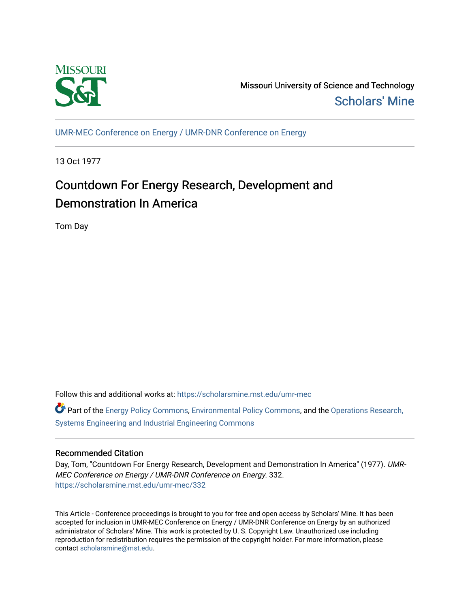

Missouri University of Science and Technology [Scholars' Mine](https://scholarsmine.mst.edu/) 

[UMR-MEC Conference on Energy / UMR-DNR Conference on Energy](https://scholarsmine.mst.edu/umr-mec)

13 Oct 1977

# Countdown For Energy Research, Development and Demonstration In America

Tom Day

Follow this and additional works at: [https://scholarsmine.mst.edu/umr-mec](https://scholarsmine.mst.edu/umr-mec?utm_source=scholarsmine.mst.edu%2Fumr-mec%2F332&utm_medium=PDF&utm_campaign=PDFCoverPages) 

Part of the [Energy Policy Commons](http://network.bepress.com/hgg/discipline/1065?utm_source=scholarsmine.mst.edu%2Fumr-mec%2F332&utm_medium=PDF&utm_campaign=PDFCoverPages), [Environmental Policy Commons](http://network.bepress.com/hgg/discipline/1027?utm_source=scholarsmine.mst.edu%2Fumr-mec%2F332&utm_medium=PDF&utm_campaign=PDFCoverPages), and the [Operations Research,](http://network.bepress.com/hgg/discipline/305?utm_source=scholarsmine.mst.edu%2Fumr-mec%2F332&utm_medium=PDF&utm_campaign=PDFCoverPages)  [Systems Engineering and Industrial Engineering Commons](http://network.bepress.com/hgg/discipline/305?utm_source=scholarsmine.mst.edu%2Fumr-mec%2F332&utm_medium=PDF&utm_campaign=PDFCoverPages)

# Recommended Citation

Day, Tom, "Countdown For Energy Research, Development and Demonstration In America" (1977). UMR-MEC Conference on Energy / UMR-DNR Conference on Energy. 332. [https://scholarsmine.mst.edu/umr-mec/332](https://scholarsmine.mst.edu/umr-mec/332?utm_source=scholarsmine.mst.edu%2Fumr-mec%2F332&utm_medium=PDF&utm_campaign=PDFCoverPages) 

This Article - Conference proceedings is brought to you for free and open access by Scholars' Mine. It has been accepted for inclusion in UMR-MEC Conference on Energy / UMR-DNR Conference on Energy by an authorized administrator of Scholars' Mine. This work is protected by U. S. Copyright Law. Unauthorized use including reproduction for redistribution requires the permission of the copyright holder. For more information, please contact [scholarsmine@mst.edu](mailto:scholarsmine@mst.edu).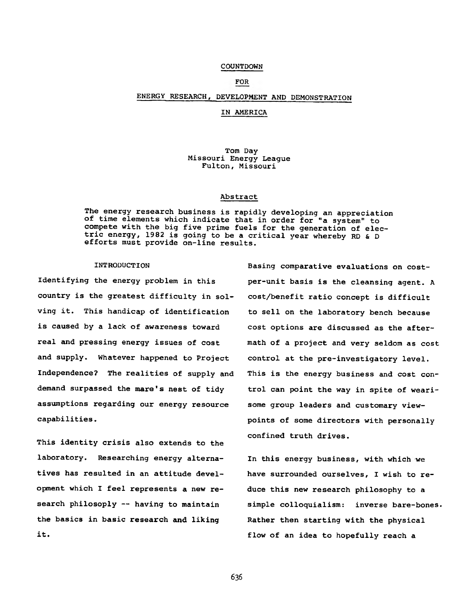#### COUNTDOWN

## FOR

## ENERGY RESEARCH, DEVELOPMENT AND DEMONSTRATION

#### IN AMERICA

#### Tom Day Missouri Energy League Fulton, Missouri

#### Abstract

The energy research business is rapidly developing an appreciation of time elements which indicate that in order for "a system" to compete with the big five prime fuels for the generation of electric energy, 1982 is going to be a critical year whereby RD & D efforts must provide on-line results.

#### INTRODUCTION

Identifying the energy problem in this country is the greatest difficulty in solving it. This handicap of identification is caused by a lack of awareness toward real and pressing energy issues of cost and supply. Whatever happened to Project Independence? The realities of supply and demand surpassed the mare's nest of tidy assumptions regarding our energy resource capabilities.

This identity crisis also extends to the laboratory. Researching energy alternatives has resulted in an attitude development which I feel represents a new research philosoply -- having to maintain the basics in basic research and liking it.

Basing comparative evaluations on costper-unit basis is the cleansing agent. A cost/benefit ratio concept is difficult to sell on the laboratory bench because cost options are discussed as the aftermath of a project and very seldom as cost control at the pre-investigatory level. This is the energy business and cost control can point the way in spite of wearisome group leaders and customary viewpoints of some directors with personally confined truth drives.

In this energy business, with which we have surrounded ourselves, I wish to reduce this new research philosophy to a simple colloquialism: inverse bare-bones. Rather then starting with the physical flow of an idea to hopefully reach a

**636**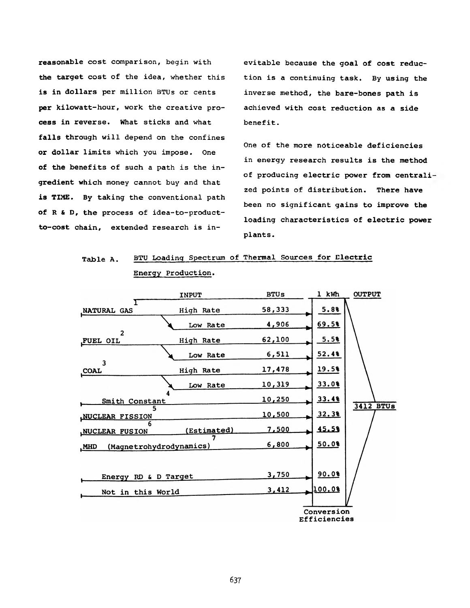reasonable cost comparison, begin with the target cost of the idea, whether this is in dollars per million BTUs or cents per kilowatt-hour, work the creative process in reverse. What sticks and what falls through will depend on the confines or dollar limits which you impose. One of the benefits of such a path is the ingredient which money cannot buy and that is TIME. By taking the conventional path of R & D, the process of idea-to-productto-cost chain, extended research is in-

evitable because the goal of cost reduction is a continuing task. By using the inverse method, the bare-bones path is achieved with cost reduction as a side benefit.

One of the more noticeable deficiencies in energy research results is the method of producing electric power from centrali zed points of distribution. There have been no significant gains to improve the loading characteristics of electric power plants.

| Table A. | BTU Loading Spectrum of Thermal Sources for Electric |  |  |  |
|----------|------------------------------------------------------|--|--|--|
|          | Energy Production.                                   |  |  |  |

|                                       | <b>INPUT</b> | <b>BTUs</b> | 1 kWh                      | <b>OUTPUT</b>    |
|---------------------------------------|--------------|-------------|----------------------------|------------------|
| NATURAL GAS                           | High Rate    | 58,333      | 5.8%                       |                  |
|                                       | Low Rate     | 4,906       | 69.58                      |                  |
| $\overline{2}$<br>FUEL OIL            | High Rate    | 62,100      | 5.5%                       |                  |
|                                       | Low Rate     | 6,511       | 52.48                      |                  |
| 3<br>COAL                             | High Rate    | 17,478      | 19.58                      |                  |
|                                       | Low Rate     | 10,319      | 33.0%                      |                  |
| Smith Constant                        |              | 10,250      | 33.48                      |                  |
| <b>NUCLEAR FISSION</b>                |              | 10,500      | 32.38                      | <b>3412 BTUS</b> |
| <b>NUCLEAR FUSION</b>                 | (Estimated)  | 7,500       | 45.58                      |                  |
| (Magnetrohydrodynamics)<br><b>MHD</b> |              | 6,800       | 50.0%                      |                  |
|                                       |              |             |                            |                  |
| Energy RD & D Target                  |              | 3,750       | 90.08                      |                  |
| Not in this World                     |              | 3,412       | 100.08                     |                  |
|                                       |              |             | Conversion<br>Efficiencies |                  |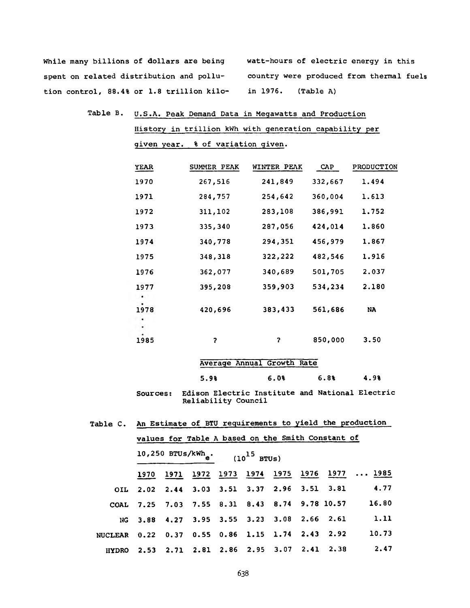While many billions of dollars are being watt-hours of electric energy in this spent on related distribution and pollu- country were produced from thermal fuels tion control, 88.4% or 1.8 trillion kilo- in 1976. (Table A)

Table B. U.S.A. Peak Demand Data in Megawatts and Production History in trillion kWh with generation capability per given year. % of variation given.

| <b>YEAR</b> | SUMMER PEAK | <b>WINTER PEAK</b> | CAP     | PRODUCTION |
|-------------|-------------|--------------------|---------|------------|
| 1970        | 267,516     | 241,849            | 332,667 | 1.494      |
| 1971        | 284,757     | 254,642            | 360,004 | 1.613      |
| 1972        | 311,102     | 283,108            | 386,991 | 1.752      |
| 1973        | 335,340     | 287,056            | 424,014 | 1.860      |
| 1974        | 340,778     | 294,351            | 456,979 | 1.867      |
| 1975        | 348,318     | 322,222            | 482,546 | 1.916      |
| 1976        | 362,077     | 340,689            | 501,705 | 2.037      |
| 1977        | 395,208     | 359,903            | 534,234 | 2.180      |
| 1978        | 420,696     | 383,433            | 561,686 | NA         |
| 1985        | ?           | 7                  | 850,000 | 3.50       |

|      | Average Annual Growth Rate |      |      |
|------|----------------------------|------|------|
| 5.9% | 6.08                       | 6.8% | 4.98 |

Sources: Edison Electric Institute and National Electric Reliability Council

| values for Table A based on the Smith Constant of |                                                 |  |                                            |  |  |  |  |                                             |                                                |
|---------------------------------------------------|-------------------------------------------------|--|--------------------------------------------|--|--|--|--|---------------------------------------------|------------------------------------------------|
|                                                   | 10,250 BTUs/kWh <sub>e</sub> . $(10^{15}$ BTUs) |  |                                            |  |  |  |  |                                             |                                                |
|                                                   | 1970                                            |  |                                            |  |  |  |  |                                             | 1971 1972 1973 1974 1975 1976 1977  1985       |
|                                                   |                                                 |  |                                            |  |  |  |  | OIL 2.02 2.44 3.03 3.51 3.37 2.96 3.51 3.81 | 4.77                                           |
| <b>COAL</b>                                       |                                                 |  |                                            |  |  |  |  |                                             | 7.25 7.03 7.55 8.31 8.43 8.74 9.78 10.57 16.80 |
|                                                   |                                                 |  | NG 3.88 4.27 3.95 3.55 3.23 3.08 2.66 2.61 |  |  |  |  |                                             | 1.11                                           |
| NUCLEAR 0.22 0.37 0.55 0.86 1.15 1.74 2.43 2.92   |                                                 |  |                                            |  |  |  |  |                                             | 10.73                                          |
| <b>HYDRO</b>                                      |                                                 |  | 2.53 2.71 2.81 2.86 2.95 3.07 2.41 2.38    |  |  |  |  |                                             | 2.47                                           |

|  |  | Table C. An Estimate of BTU requirements to yield the production |  |  |
|--|--|------------------------------------------------------------------|--|--|
|  |  |                                                                  |  |  |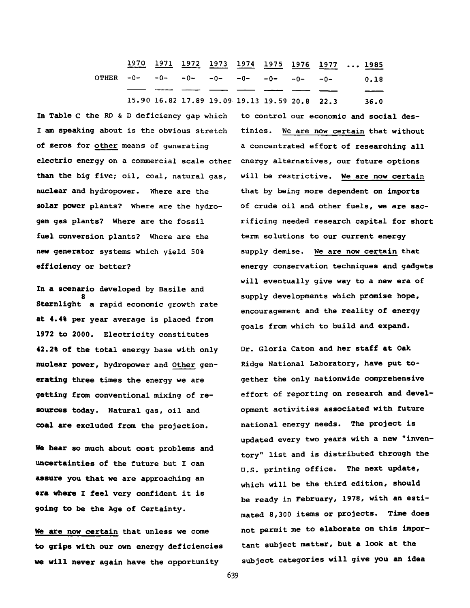1970 1971 1972 1973 1974 1975 1976 1977 ... 1985 OTHER  $-0$ -  $-0$ -  $-0$ -  $-0$ -15.90 16.82 17.89 19.09 19.13 19.59 20.8 22.3 36.0  $-0$ -  $-0$ -  $-0$ -  $-0$ - 0.18

In Table **c** the RD & D deficiency gap which I am speaking about is the obvious stretch of zeros for other means of generating electric energy on a commercial scale other energy alternatives, our future options than the big five; oil, coal, natural gas, nuclear and hydropower. Where are the solar power plants? Where are the hydrogen gas plants? Where are the fossil fuel conversion plants? Where are the new generator systems which yield 50% efficiency or better?

In a scenario developed by Basile and **8** Sternlight a rapid economic growth rate at **4.4%** per year average is placed from **1972** to **2000.** Electricity constitutes **42.2%** of the total energy base with only nuclear power, hydropower and Other generating three times the energy we are getting from conventional mixing of resources today. Natural gas, oil and coal are excluded from the projection.

*He* hear so much about cost problems and uncertainties of the future but I can assure you that we are approaching an era where I feel very confident it is going to be the Age of Certainty.

We are now certain that unless we come to grips with our own energy deficiencies we will never again have the opportunity

to control our economic and social destinies. We are now certain that without a concentrated effort of researching all will be restrictive. We are now certain that by being more dependent on imports of crude oil and other fuels, we are sacrificing needed research capital for short term solutions to our current energy supply demise. We are now certain that energy conservation techniques and gadgets will eventually give way to a new era of supply developments which promise hope, encouragement and the reality of energy goals from which to build and expand.

Dr. Gloria Caton and her staff at Oak Ridge National Laboratory, have put together the only nationwide comprehensive effort of reporting on research and development activities associated with future national energy needs. The project is updated every two years with a new "inventory" list and is distributed through the U.S. printing office. The next update, which will be the third edition, should be ready in February, 1978, with an estimated 8,300 items or projects. Time does not permit me to elaborate on this important subject matter, but a look at the subject categories will give you am idea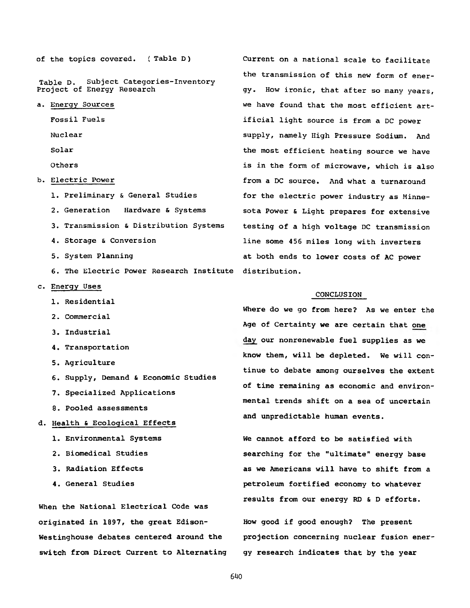of the topics covered. ( Table D) Current on a national scale to facilitate

Table D. Subject Categories-Inventory<br>Project of Energy Research

- 
- 
- 
- 

- 
- 
- 
- 
- 6. The Electric Power Research Institute distribution.
- c. Energy Uses
	- 1. Residential
	- 2. Commercial
	- 3. Industrial
	- 4. Transportation
	- 5. Agriculture
	- 6. Supply, Demand & Economic Studies
	- 7. Specialized Applications
	- 8. Pooled assessments
- d. Health & Ecological Effects
	-
	-
	-
	-

When the National Electrical Code was originated in 1897, the great Edison- How good if good enough? The present switch from Direct Current to Alternating gy research indicates that by the year

the transmission of this new form of energy. How ironic, that after so many years, a. Energy Sources we have found that the most efficient art-Fossil Fuels ificial light source is from a DC power Nuclear supply, namely High Pressure Sodium. And Solar the most efficient heating source we have Others is in the form of microwave, which is also b. Electric Power **from a DC** source. And what a turnaround 1. Preliminary & General Studies for the electric power industry as Minne-2. Generation Hardware & Systems sota Power & Light prepares for extensive 3. Transmission & Distribution Systems testing of a high voltage DC transmission 4. Storage & Conversion line some 456 miles long with inverters 5. System Planning at both ends to lower costs of AC power

#### CONCLUSION

Where do we go from here? As we enter the Age of Certainty we are certain that one day our nonrenewable fuel supplies as we know them, will be depleted. We will continue to debate among ourselves the extent of time remaining as economic and environmental trends shift on a sea of uncertain and unpredictable human events.

1. Environmental Systems The Cannot afford to be satisfied with 2. Biomedical Studies searching for the "ultimate" energy base 3. Radiation Effects as we Americans will have to shift from a 4. General Studies petroleum fortified economy to whatever results from our energy RD & D efforts.

Westinghouse debates centered around the projection concerning nuclear fusion ener-

**640**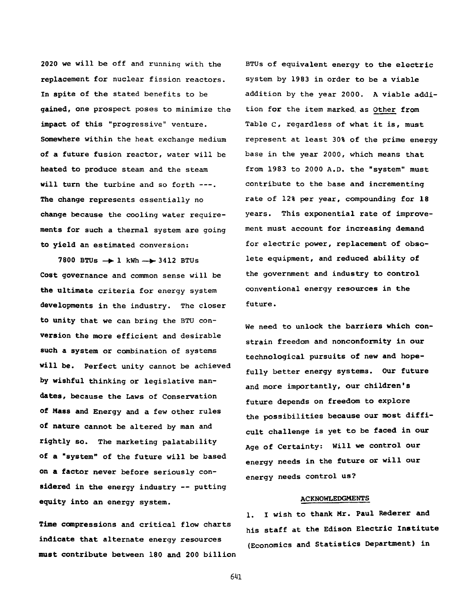2020 we will be off and running with the replacement for nuclear fission reactors. In spite of the stated benefits to be gained, one prospect poses to minimize the impact of this "progressive" venture. Somewhere within the heat exchange medium of a future fusion reactor, water will be heated to produce steam and the steam will turn the turbine and so forth ---. The change represents essentially no change because the cooling water requirements for such a thermal system are going to yield an estimated conversion:

7800 BTUs → 1 kWh → 3412 BTUs Cost governance and common sense will be the ultimate criteria for energy system developments in the industry. The closer to unity that we can bring the BTU conversion the more efficient and desirable such a system or combination of systems will be. Perfect unity cannot be achieved by wishful thinking or legislative mandates, because the Laws of Conservation of Mass and Energy and a few other rules of nature cannot be altered by man and rightly so. The marketing palatability of a "system" of the future will be based on a factor never before seriously considered in the energy industry -- putting equity into an energy system.

Time compressions and critical flow charts indicate that alternate energy resources must contribute between 180 and 200 billion BTUs of equivalent energy to the electric system by 1983 in order to be a viable addition by the year 2000. A viable addition for the item marked, as Other from Table c, regardless of what it is, must represent at least 30% of the prime energy base in the year 2000, which means that from 1983 to 2000 A.D. the "system" must contribute to the base and incrementing rate of 12% per year, compounding for 18 years. This exponential rate of improvement must account for increasing demand for electric power, replacement of obsolete equipment, and reduced ability of the government and industry to control conventional energy resources in the future.

We need to unlock the barriers which constrain freedom and nonconformity in our technological pursuits of new and hopefully better energy systems. Our future and more importantly, our children's future depends on freedom to explore the possibilities because our most difficult challenge is yet to be faced in our Age of Certainty: Will we control our energy needs in the future or will our energy needs control us?

### ACKNOWLEDGMENTS

1. I wish to thank Mr. Paul Rederer and his staff at the Edison Electric Institute (Economics and Statistics Department) in

**641**